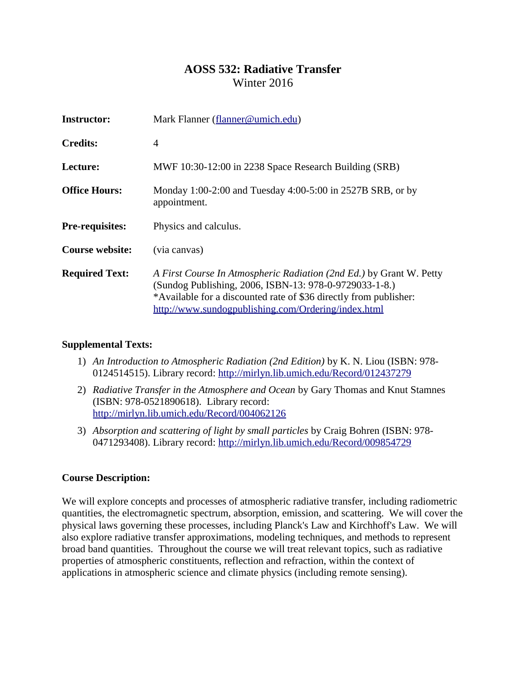# **AOSS 532: Radiative Transfer** Winter 2016

| Instructor:            | Mark Flanner (flanner@umich.edu)                                                                                                                                                                                                                          |  |  |
|------------------------|-----------------------------------------------------------------------------------------------------------------------------------------------------------------------------------------------------------------------------------------------------------|--|--|
| <b>Credits:</b>        | 4                                                                                                                                                                                                                                                         |  |  |
| Lecture:               | MWF 10:30-12:00 in 2238 Space Research Building (SRB)                                                                                                                                                                                                     |  |  |
| <b>Office Hours:</b>   | Monday 1:00-2:00 and Tuesday 4:00-5:00 in 2527B SRB, or by<br>appointment.                                                                                                                                                                                |  |  |
| <b>Pre-requisites:</b> | Physics and calculus.                                                                                                                                                                                                                                     |  |  |
| <b>Course website:</b> | (via canvas)                                                                                                                                                                                                                                              |  |  |
| <b>Required Text:</b>  | A First Course In Atmospheric Radiation (2nd Ed.) by Grant W. Petty<br>(Sundog Publishing, 2006, ISBN-13: 978-0-9729033-1-8.)<br>*Available for a discounted rate of \$36 directly from publisher:<br>http://www.sundogpublishing.com/Ordering/index.html |  |  |

## **Supplemental Texts:**

- 1) *An Introduction to Atmospheric Radiation (2nd Edition)* by K. N. Liou (ISBN: 978- 0124514515). Library record:<http://mirlyn.lib.umich.edu/Record/012437279>
- 2) *Radiative Transfer in the Atmosphere and Ocean* by Gary Thomas and Knut Stamnes (ISBN: 978-0521890618). Library record: <http://mirlyn.lib.umich.edu/Record/004062126>
- 3) *Absorption and scattering of light by small particles* by Craig Bohren (ISBN: 978- 0471293408). Library record:<http://mirlyn.lib.umich.edu/Record/009854729>

# **Course Description:**

We will explore concepts and processes of atmospheric radiative transfer, including radiometric quantities, the electromagnetic spectrum, absorption, emission, and scattering. We will cover the physical laws governing these processes, including Planck's Law and Kirchhoff's Law. We will also explore radiative transfer approximations, modeling techniques, and methods to represent broad band quantities. Throughout the course we will treat relevant topics, such as radiative properties of atmospheric constituents, reflection and refraction, within the context of applications in atmospheric science and climate physics (including remote sensing).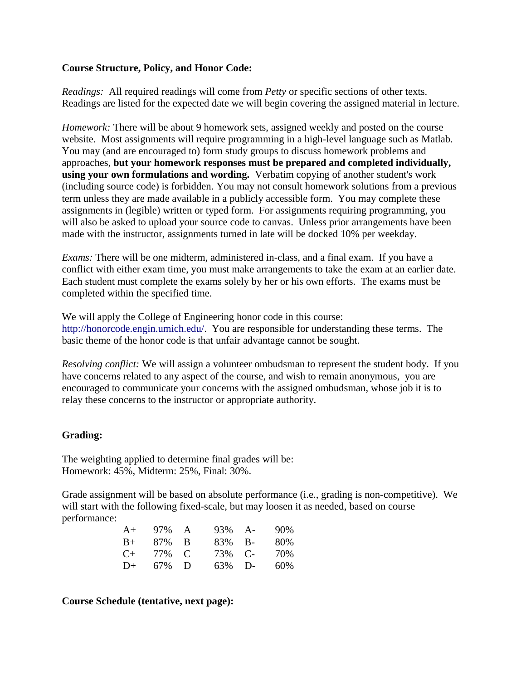#### **Course Structure, Policy, and Honor Code:**

*Readings:* All required readings will come from *Petty* or specific sections of other texts. Readings are listed for the expected date we will begin covering the assigned material in lecture.

*Homework:* There will be about 9 homework sets, assigned weekly and posted on the course website. Most assignments will require programming in a high-level language such as Matlab. You may (and are encouraged to) form study groups to discuss homework problems and approaches, **but your homework responses must be prepared and completed individually, using your own formulations and wording.** Verbatim copying of another student's work (including source code) is forbidden. You may not consult homework solutions from a previous term unless they are made available in a publicly accessible form. You may complete these assignments in (legible) written or typed form. For assignments requiring programming, you will also be asked to upload your source code to canvas. Unless prior arrangements have been made with the instructor, assignments turned in late will be docked 10% per weekday.

*Exams:* There will be one midterm, administered in-class, and a final exam. If you have a conflict with either exam time, you must make arrangements to take the exam at an earlier date. Each student must complete the exams solely by her or his own efforts. The exams must be completed within the specified time.

We will apply the College of Engineering honor code in this course: [http://honorcode.engin.umich.edu/.](http://honorcode.engin.umich.edu/) You are responsible for understanding these terms. The basic theme of the honor code is that unfair advantage cannot be sought.

*Resolving conflict:* We will assign a volunteer ombudsman to represent the student body. If you have concerns related to any aspect of the course, and wish to remain anonymous, you are encouraged to communicate your concerns with the assigned ombudsman, whose job it is to relay these concerns to the instructor or appropriate authority.

## **Grading:**

The weighting applied to determine final grades will be: Homework: 45%, Midterm: 25%, Final: 30%.

Grade assignment will be based on absolute performance (i.e., grading is non-competitive). We will start with the following fixed-scale, but may loosen it as needed, based on course performance:

| $A+$ | 97% A | $93\%$ A- | $90\%$ |
|------|-------|-----------|--------|
| $B+$ | 87% B | 83% B-    | 80%    |
| $C+$ | 77% C | 73% C-    | 70%    |
| $D+$ | 67% D | $63\%$ D- | 60%    |

#### **Course Schedule (tentative, next page):**